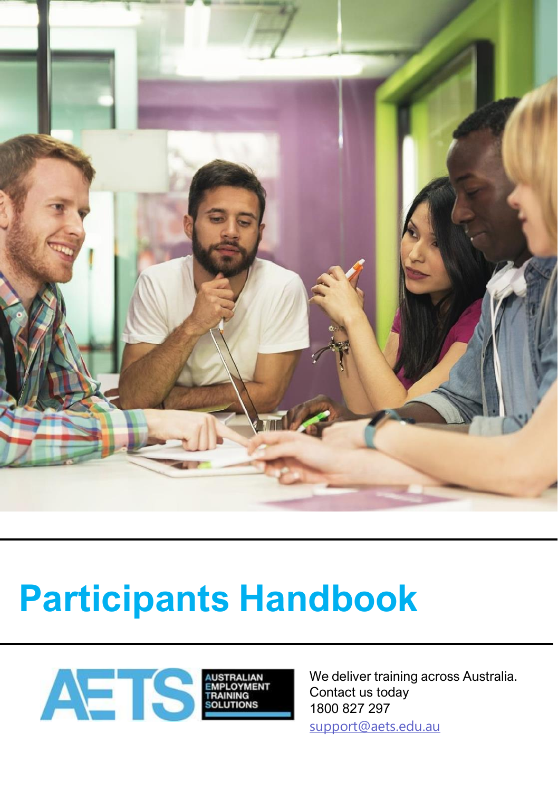

# **Participants Handbook**



We deliver training across Australia. Contact us today 1800 827 297 [support@aets.edu.au](mailto:support@aets.edu.au)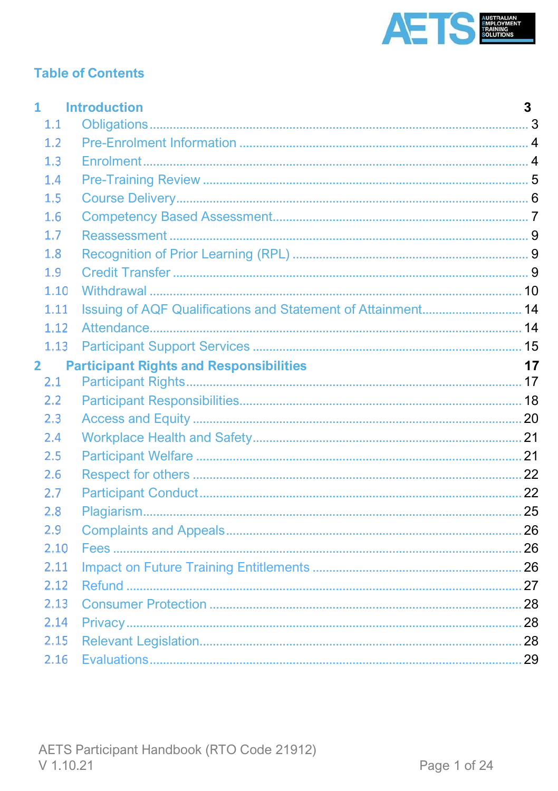

# **Table of Contents**

| 1                                                   |      | <b>Introduction</b>                                          | 3 |
|-----------------------------------------------------|------|--------------------------------------------------------------|---|
|                                                     | 1.1  |                                                              |   |
|                                                     | 1.2  |                                                              |   |
|                                                     | 1.3  |                                                              |   |
|                                                     | 1.4  |                                                              |   |
|                                                     | 1.5  |                                                              |   |
|                                                     | 1.6  |                                                              |   |
|                                                     | 1.7  |                                                              |   |
|                                                     | 1.8  |                                                              |   |
|                                                     | 1.9  |                                                              |   |
|                                                     | 1.10 |                                                              |   |
|                                                     | 1.11 | Issuing of AQF Qualifications and Statement of Attainment 14 |   |
|                                                     | 1.12 |                                                              |   |
|                                                     | 1.13 |                                                              |   |
| <b>Participant Rights and Responsibilities</b><br>2 |      |                                                              |   |
|                                                     | 2.1  |                                                              |   |
|                                                     | 2.2  |                                                              |   |
|                                                     | 2.3  |                                                              |   |
|                                                     | 2.4  |                                                              |   |
|                                                     | 2.5  |                                                              |   |
|                                                     | 2.6  |                                                              |   |
|                                                     | 2.7  |                                                              |   |
|                                                     | 2.8  |                                                              |   |
|                                                     | 2.9  |                                                              |   |
|                                                     | 2.10 |                                                              |   |
|                                                     | 2.11 |                                                              |   |
|                                                     | 2.12 |                                                              |   |
|                                                     | 2.13 |                                                              |   |
|                                                     | 2.14 |                                                              |   |
|                                                     | 2.15 |                                                              |   |
|                                                     | 2.16 |                                                              |   |
|                                                     |      |                                                              |   |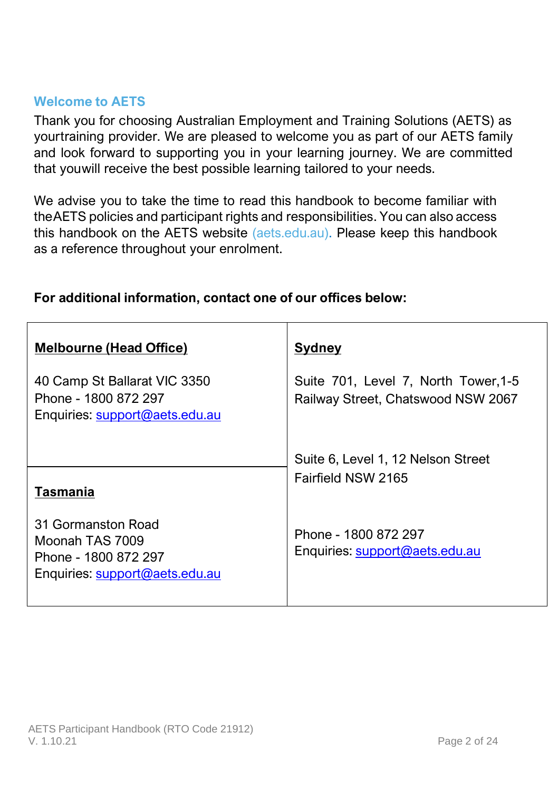### **Welcome to AETS**

Thank you for choosing Australian Employment and Training Solutions (AETS) as yourtraining provider. We are pleased to welcome you as part of our AETS family and look forward to supporting you in your learning journey. We are committed that youwill receive the best possible learning tailored to your needs.

We advise you to take the time to read this handbook to become familiar with theAETS policies and participant rights and responsibilities. You can also access this handbook on the AETS website (aets.edu.au). Please keep this handbook as a reference throughout your enrolment.

| <b>Melbourne (Head Office)</b>                                                                  | <b>Sydney</b>                                                              |
|-------------------------------------------------------------------------------------------------|----------------------------------------------------------------------------|
| 40 Camp St Ballarat VIC 3350<br>Phone - 1800 872 297<br>Enquiries: support@aets.edu.au          | Suite 701, Level 7, North Tower, 1-5<br>Railway Street, Chatswood NSW 2067 |
| <b>Tasmania</b>                                                                                 | Suite 6, Level 1, 12 Nelson Street<br>Fairfield NSW 2165                   |
| 31 Gormanston Road<br>Moonah TAS 7009<br>Phone - 1800 872 297<br>Enquiries: support@aets.edu.au | Phone - 1800 872 297<br>Enquiries: support@aets.edu.au                     |

# **For additional information, contact one of our offices below:**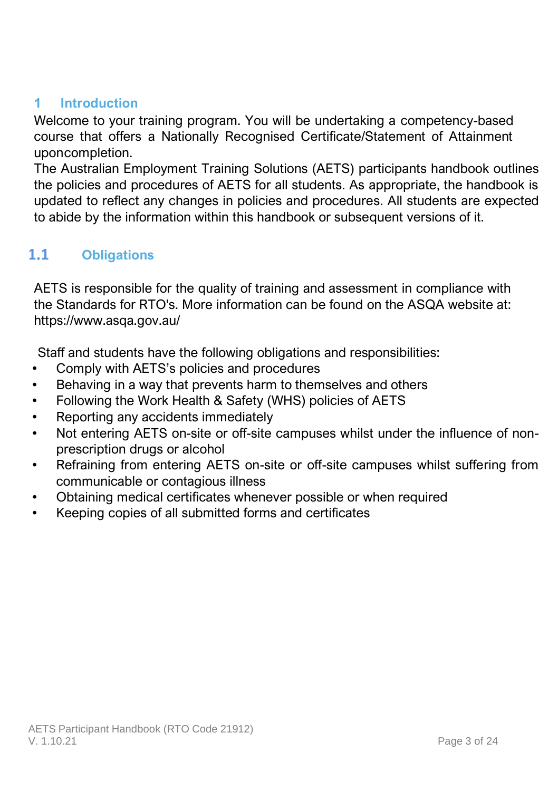# <span id="page-3-0"></span>**1 Introduction**

Welcome to your training program. You will be undertaking a competency-based course that offers a Nationally Recognised Certificate/Statement of Attainment uponcompletion.

The Australian Employment Training Solutions (AETS) participants handbook outlines the policies and procedures of AETS for all students. As appropriate, the handbook is updated to reflect any changes in policies and procedures. All students are expected to abide by the information within this handbook or subsequent versions of it.

### <span id="page-3-1"></span> $1.1$ **Obligations**

AETS is responsible for the quality of training and assessment in compliance with the Standards for RTO's. More information can be found on the ASQA website at: https://www.asqa.gov.au/

Staff and students have the following obligations and responsibilities:

- Comply with AETS's policies and procedures
- Behaving in a way that prevents harm to themselves and others
- Following the Work Health & Safety (WHS) policies of AETS
- Reporting any accidents immediately
- Not entering AETS on-site or off-site campuses whilst under the influence of nonprescription drugs or alcohol
- Refraining from entering AETS on-site or off-site campuses whilst suffering from communicable or contagious illness
- Obtaining medical certificates whenever possible or when required
- Keeping copies of all submitted forms and certificates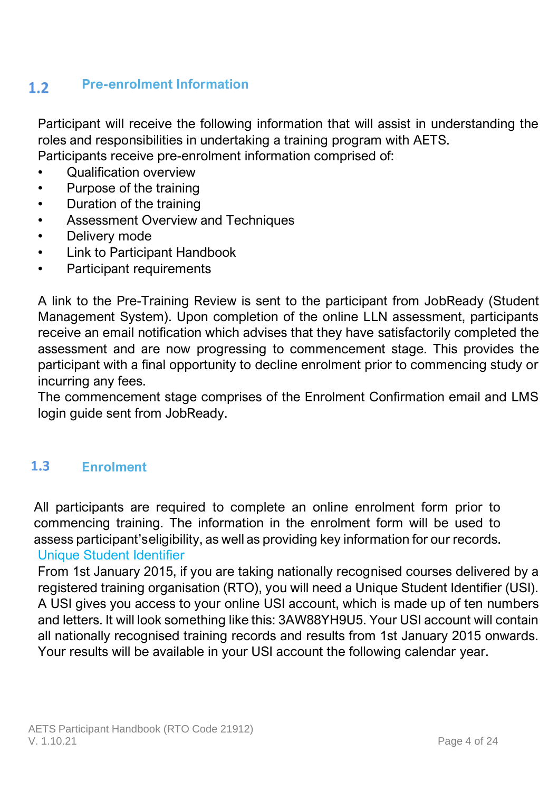### **Pre-enrolment Information**  $1.2$

Participant will receive the following information that will assist in understanding the roles and responsibilities in undertaking a training program with AETS. Participants receive pre-enrolment information comprised of:

- Qualification overview
- Purpose of the training
- Duration of the training
- Assessment Overview and Techniques
- Delivery mode
- Link to Participant Handbook
- Participant requirements

A link to the Pre-Training Review is sent to the participant from JobReady (Student Management System). Upon completion of the online LLN assessment, participants receive an email notification which advises that they have satisfactorily completed the assessment and are now progressing to commencement stage. This provides the participant with a final opportunity to decline enrolment prior to commencing study or incurring any fees.

The commencement stage comprises of the Enrolment Confirmation email and LMS login guide sent from JobReady.

### $1.3$ **Enrolment**

All participants are required to complete an online enrolment form prior to commencing training. The information in the enrolment form will be used to assess participant's eligibility, as well as providing key information for our records. Unique Student Identifier

From 1st January 2015, if you are taking nationally recognised courses delivered by a registered training organisation (RTO), you will need a Unique Student Identifier (USI). A USI gives you access to your online USI account, which is made up of ten numbers and letters. It will look something like this: 3AW88YH9U5. Your USI account will contain all nationally recognised training records and results from 1st January 2015 onwards. Your results will be available in your USI account the following calendar year.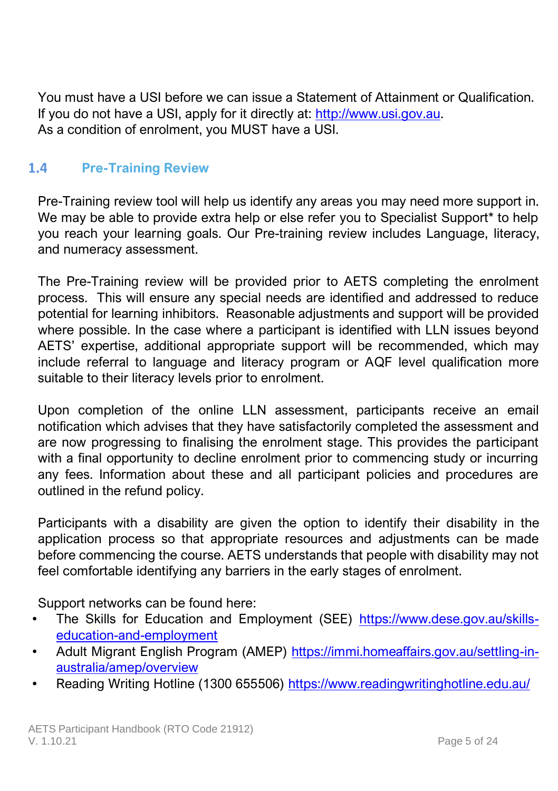<span id="page-5-0"></span>You must have a USI before we can issue a Statement of Attainment or Qualification. If you do not have a USI, apply for it directly at: [http://www.usi.gov.au.](http://www.usi.gov.au/) As a condition of enrolment, you MUST have a USI.

#### $1.4$ **Pre-Training Review**

Pre-Training review tool will help us identify any areas you may need more support in. We may be able to provide extra help or else refer you to Specialist Support\* to help you reach your learning goals. Our Pre-training review includes Language, literacy, and numeracy assessment.

The Pre-Training review will be provided prior to AETS completing the enrolment process. This will ensure any special needs are identified and addressed to reduce potential for learning inhibitors. Reasonable adjustments and support will be provided where possible. In the case where a participant is identified with LLN issues beyond AETS' expertise, additional appropriate support will be recommended, which may include referral to language and literacy program or AQF level qualification more suitable to their literacy levels prior to enrolment.

Upon completion of the online LLN assessment, participants receive an email notification which advises that they have satisfactorily completed the assessment and are now progressing to finalising the enrolment stage. This provides the participant with a final opportunity to decline enrolment prior to commencing study or incurring any fees. Information about these and all participant policies and procedures are outlined in the refund policy.

Participants with a disability are given the option to identify their disability in the application process so that appropriate resources and adjustments can be made before commencing the course. AETS understands that people with disability may not feel comfortable identifying any barriers in the early stages of enrolment.

Support networks can be found here:

- The Skills for Education and Employment (SEE) [https://www.dese.gov.au/skills](https://www.dese.gov.au/skills-education-and-employment)[education-and-employment](https://www.dese.gov.au/skills-education-and-employment)
- Adult Migrant English Program (AMEP) [https://immi.homeaffairs.gov.au/settling-in](https://immi.homeaffairs.gov.au/settling-in-australia/amep/overview)[australia/amep/overview](https://immi.homeaffairs.gov.au/settling-in-australia/amep/overview)
- Reading Writing Hotline (1300 655506)<https://www.readingwritinghotline.edu.au/>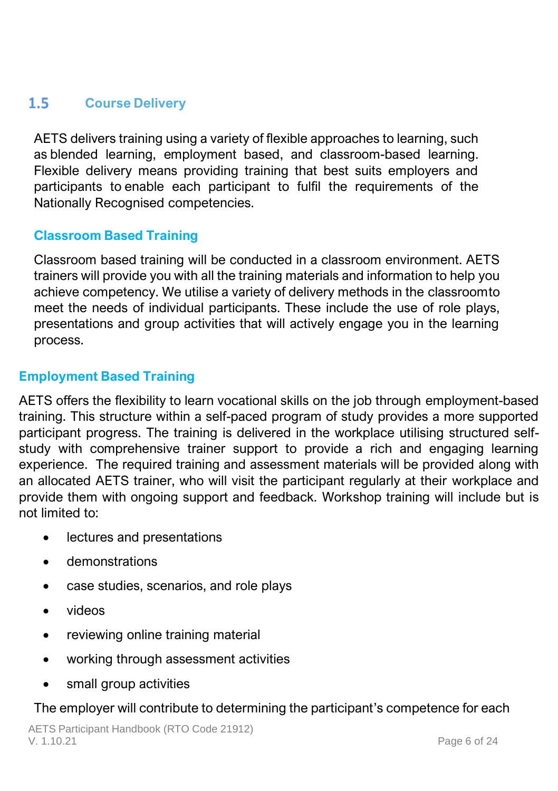### <span id="page-6-0"></span> $1.5 -$ **Course Delivery**

AETS delivers training using a variety of flexible approaches to learning, such as blended learning, employment based, and classroom-based learning. Flexible delivery means providing training that best suits employers and participants to enable each participant to fulfil the requirements of the Nationally Recognised competencies.

# **Classroom Based Training**

Classroom based training will be conducted in a classroom environment. AETS trainers will provide you with all the training materials and information to help you achieve competency. We utilise a variety of delivery methods in the classroomto meet the needs of individual participants. These include the use of role plays, presentations and group activities that will actively engage you in the learning process.

### **Employment Based Training**

AETS offers the flexibility to learn vocational skills on the job through employment-based training. This structure within a self-paced program of study provides a more supported participant progress. The training is delivered in the workplace utilising structured selfstudy with comprehensive trainer support to provide a rich and engaging learning experience. The required training and assessment materials will be provided along with an allocated AETS trainer, who will visit the participant regularly at their workplace and provide them with ongoing support and feedback. Workshop training will include but is not limited to:

- lectures and presentations
- demonstrations
- case studies, scenarios, and role plays
- videos
- reviewing online training material
- working through assessment activities
- small group activities

### The employer will contribute to determining the participant's competence for each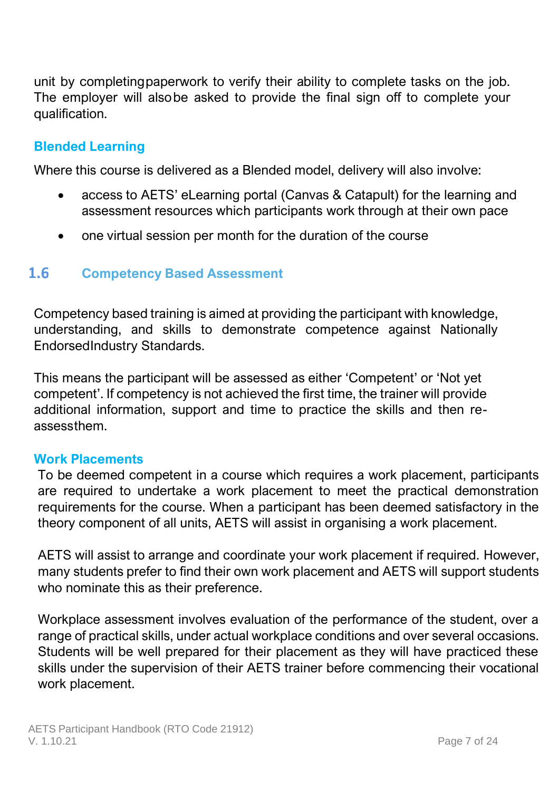unit by completingpaperwork to verify their ability to complete tasks on the job. The employer will alsobe asked to provide the final sign off to complete your qualification.

### **Blended Learning**

Where this course is delivered as a Blended model, delivery will also involve:

- access to AETS' eLearning portal (Canvas & Catapult) for the learning and assessment resources which participants work through at their own pace
- <span id="page-7-0"></span>• one virtual session per month for the duration of the course

#### $1.6$ **Competency Based Assessment**

Competency based training is aimed at providing the participant with knowledge, understanding, and skills to demonstrate competence against Nationally EndorsedIndustry Standards.

This means the participant will be assessed as either 'Competent' or 'Not yet competent'. If competency is not achieved the first time, the trainer will provide additional information, support and time to practice the skills and then reassessthem.

### **Work Placements**

To be deemed competent in a course which requires a work placement, participants are required to undertake a work placement to meet the practical demonstration requirements for the course. When a participant has been deemed satisfactory in the theory component of all units, AETS will assist in organising a work placement.

AETS will assist to arrange and coordinate your work placement if required. However, many students prefer to find their own work placement and AETS will support students who nominate this as their preference.

Workplace assessment involves evaluation of the performance of the student, over a range of practical skills, under actual workplace conditions and over several occasions. Students will be well prepared for their placement as they will have practiced these skills under the supervision of their AETS trainer before commencing their vocational work placement.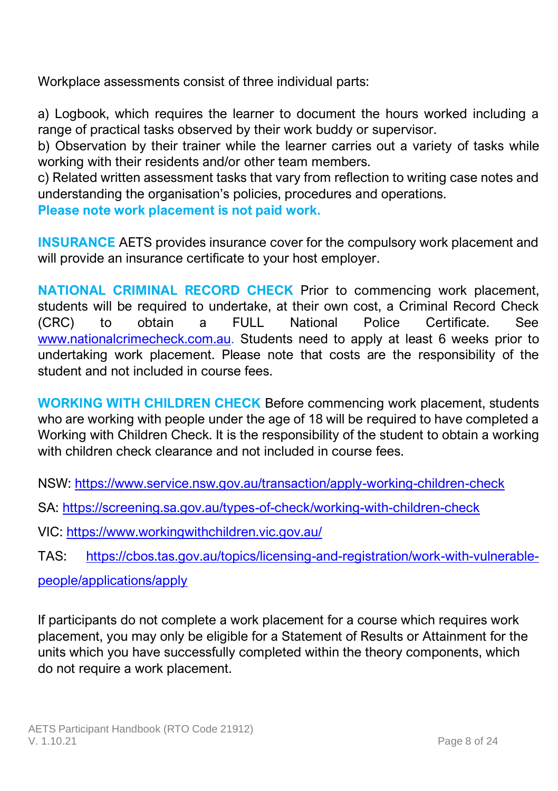Workplace assessments consist of three individual parts:

a) Logbook, which requires the learner to document the hours worked including a range of practical tasks observed by their work buddy or supervisor.

b) Observation by their trainer while the learner carries out a variety of tasks while working with their residents and/or other team members.

c) Related written assessment tasks that vary from reflection to writing case notes and understanding the organisation's policies, procedures and operations.

**Please note work placement is not paid work.**

**INSURANCE** AETS provides insurance cover for the compulsory work placement and will provide an insurance certificate to your host employer.

**NATIONAL CRIMINAL RECORD CHECK** Prior to commencing work placement, students will be required to undertake, at their own cost, a Criminal Record Check (CRC) to obtain a FULL National Police Certificate. See [www.nationalcrimecheck.com.au.](file:///C:/Users/rkandra/AppData/Local/Microsoft/Windows/INetCache/Content.Outlook/N4SIJ5VJ/www.nationalcrimecheck.com.au) Students need to apply at least 6 weeks prior to undertaking work placement. Please note that costs are the responsibility of the student and not included in course fees.

**WORKING WITH CHILDREN CHECK** Before commencing work placement, students who are working with people under the age of 18 will be required to have completed a Working with Children Check. It is the responsibility of the student to obtain a working with children check clearance and not included in course fees.

NSW:<https://www.service.nsw.gov.au/transaction/apply-working-children-check>

SA:<https://screening.sa.gov.au/types-of-check/working-with-children-check>

VIC[: https://www.workingwithchildren.vic.gov.au/](https://www.workingwithchildren.vic.gov.au/)

TAS: [https://cbos.tas.gov.au/topics/licensing-and-registration/work-with-vulnerable-](https://cbos.tas.gov.au/topics/licensing-and-registration/work-with-vulnerable-people/applications/apply)

[people/applications/apply](https://cbos.tas.gov.au/topics/licensing-and-registration/work-with-vulnerable-people/applications/apply)

If participants do not complete a work placement for a course which requires work placement, you may only be eligible for a Statement of Results or Attainment for the units which you have successfully completed within the theory components, which do not require a work placement.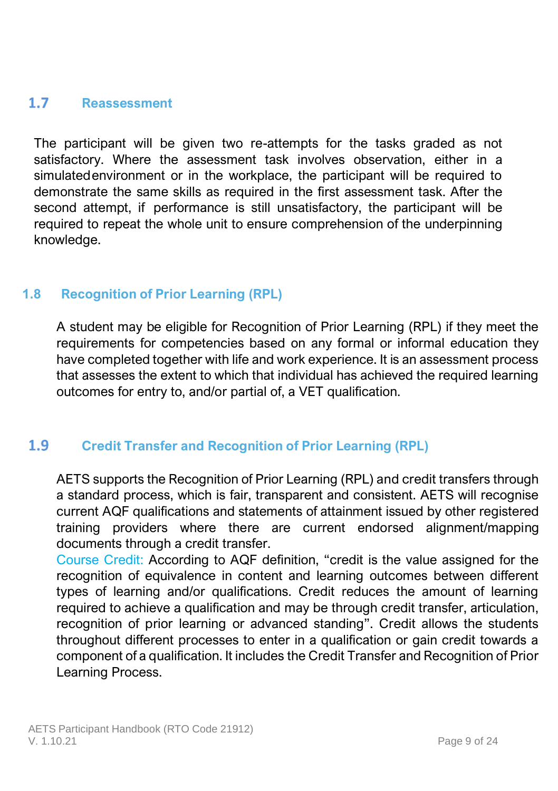#### <span id="page-9-0"></span> $1.7$ **Reassessment**

The participant will be given two re-attempts for the tasks graded as not satisfactory. Where the assessment task involves observation, either in a simulated environment or in the workplace, the participant will be required to demonstrate the same skills as required in the first assessment task. After the second attempt, if performance is still unsatisfactory, the participant will be required to repeat the whole unit to ensure comprehension of the underpinning knowledge.

# **1.8 Recognition of Prior Learning (RPL)**

A student may be eligible for Recognition of Prior Learning (RPL) if they meet the requirements for competencies based on any formal or informal education they have completed together with life and work experience. It is an assessment process that assesses the extent to which that individual has achieved the required learning outcomes for entry to, and/or partial of, a VET qualification.

#### $1.9<sub>1</sub>$ **Credit Transfer and Recognition of Prior Learning (RPL)**

<span id="page-9-1"></span>AETS supports the Recognition of Prior Learning (RPL) and credit transfers through a standard process, which is fair, transparent and consistent. AETS will recognise current AQF qualifications and statements of attainment issued by other registered training providers where there are current endorsed alignment/mapping documents through a credit transfer.

Course Credit: According to AQF definition, "credit is the value assigned for the recognition of equivalence in content and learning outcomes between different types of learning and/or qualifications. Credit reduces the amount of learning required to achieve a qualification and may be through credit transfer, articulation, recognition of prior learning or advanced standing". Credit allows the students throughout different processes to enter in a qualification or gain credit towards a component of a qualification. It includes the Credit Transfer and Recognition of Prior Learning Process.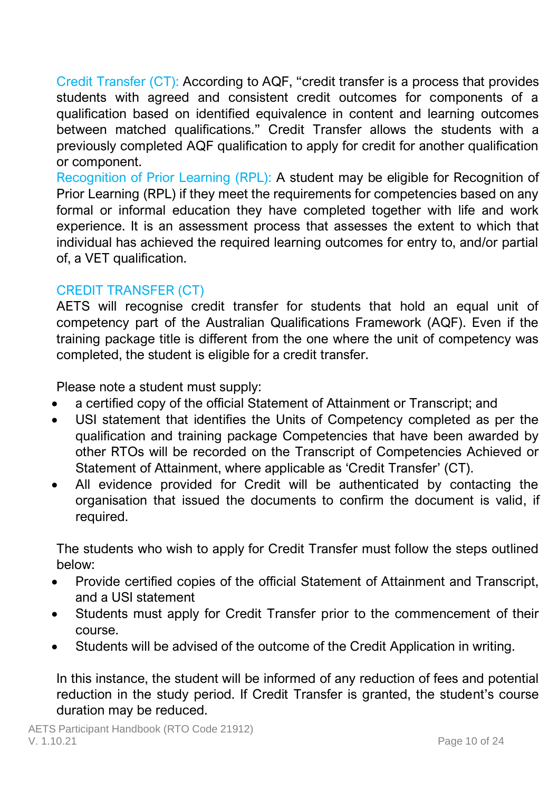Credit Transfer (CT): According to AQF, "credit transfer is a process that provides students with agreed and consistent credit outcomes for components of a qualification based on identified equivalence in content and learning outcomes between matched qualifications." Credit Transfer allows the students with a previously completed AQF qualification to apply for credit for another qualification or component.

Recognition of Prior Learning (RPL): A student may be eligible for Recognition of Prior Learning (RPL) if they meet the requirements for competencies based on any formal or informal education they have completed together with life and work experience. It is an assessment process that assesses the extent to which that individual has achieved the required learning outcomes for entry to, and/or partial of, a VET qualification.

### CREDIT TRANSFER (CT)

AETS will recognise credit transfer for students that hold an equal unit of competency part of the Australian Qualifications Framework (AQF). Even if the training package title is different from the one where the unit of competency was completed, the student is eligible for a credit transfer.

Please note a student must supply:

- a certified copy of the official Statement of Attainment or Transcript; and
- USI statement that identifies the Units of Competency completed as per the qualification and training package Competencies that have been awarded by other RTOs will be recorded on the Transcript of Competencies Achieved or Statement of Attainment, where applicable as 'Credit Transfer' (CT).
- All evidence provided for Credit will be authenticated by contacting the organisation that issued the documents to confirm the document is valid, if required.

The students who wish to apply for Credit Transfer must follow the steps outlined below:

- Provide certified copies of the official Statement of Attainment and Transcript, and a USI statement
- Students must apply for Credit Transfer prior to the commencement of their course.
- Students will be advised of the outcome of the Credit Application in writing.

In this instance, the student will be informed of any reduction of fees and potential reduction in the study period. If Credit Transfer is granted, the student's course duration may be reduced.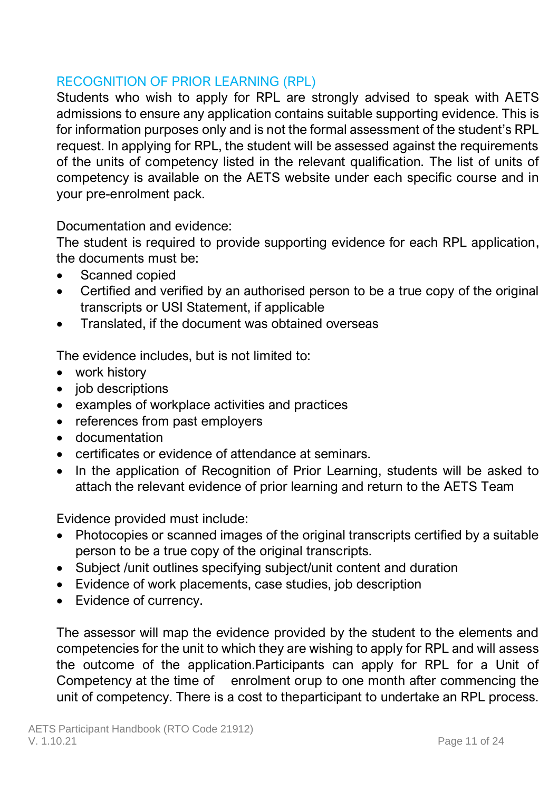# RECOGNITION OF PRIOR LEARNING (RPL)

Students who wish to apply for RPL are strongly advised to speak with AETS admissions to ensure any application contains suitable supporting evidence. This is for information purposes only and is not the formal assessment of the student's RPL request. In applying for RPL, the student will be assessed against the requirements of the units of competency listed in the relevant qualification. The list of units of competency is available on the AETS website under each specific course and in your pre-enrolment pack.

Documentation and evidence:

The student is required to provide supporting evidence for each RPL application, the documents must be:

- Scanned copied
- Certified and verified by an authorised person to be a true copy of the original transcripts or USI Statement, if applicable
- Translated, if the document was obtained overseas

The evidence includes, but is not limited to:

- work history
- job descriptions
- examples of workplace activities and practices
- references from past employers
- documentation
- certificates or evidence of attendance at seminars.
- In the application of Recognition of Prior Learning, students will be asked to attach the relevant evidence of prior learning and return to the AETS Team

Evidence provided must include:

- Photocopies or scanned images of the original transcripts certified by a suitable person to be a true copy of the original transcripts.
- Subject /unit outlines specifying subject/unit content and duration
- Evidence of work placements, case studies, job description
- Evidence of currency.

The assessor will map the evidence provided by the student to the elements and competencies for the unit to which they are wishing to apply for RPL and will assess the outcome of the application.Participants can apply for RPL for a Unit of Competency at the time of enrolment orup to one month after commencing the unit of competency. There is a cost to theparticipant to undertake an RPL process.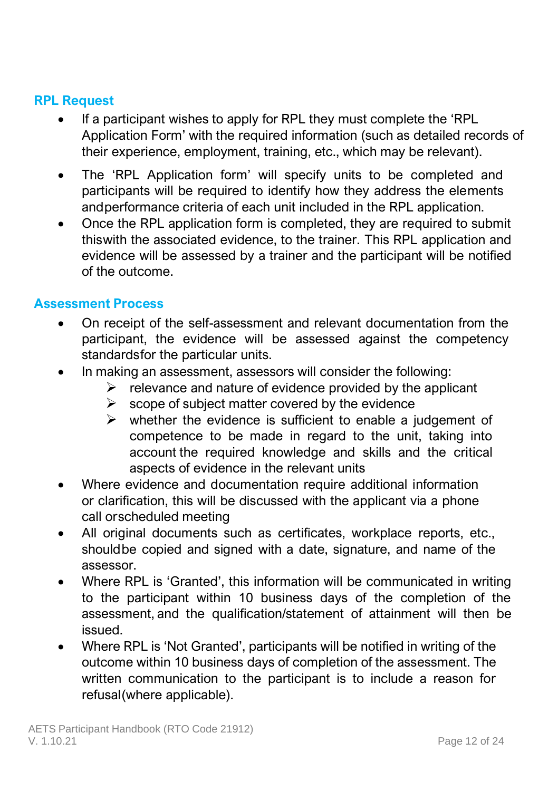### **RPL Request**

- If a participant wishes to apply for RPL they must complete the 'RPL Application Form' with the required information (such as detailed records of their experience, employment, training, etc., which may be relevant).
- The 'RPL Application form' will specify units to be completed and participants will be required to identify how they address the elements andperformance criteria of each unit included in the RPL application.
- Once the RPL application form is completed, they are required to submit thiswith the associated evidence, to the trainer. This RPL application and evidence will be assessed by a trainer and the participant will be notified of the outcome.

### **Assessment Process**

- On receipt of the self-assessment and relevant documentation from the participant, the evidence will be assessed against the competency standardsfor the particular units.
- In making an assessment, assessors will consider the following:
	- $\triangleright$  relevance and nature of evidence provided by the applicant
	- $\triangleright$  scope of subject matter covered by the evidence
	- $\triangleright$  whether the evidence is sufficient to enable a judgement of competence to be made in regard to the unit, taking into account the required knowledge and skills and the critical aspects of evidence in the relevant units
- Where evidence and documentation require additional information or clarification, this will be discussed with the applicant via a phone call orscheduled meeting
- All original documents such as certificates, workplace reports, etc., shouldbe copied and signed with a date, signature, and name of the assessor.
- Where RPL is 'Granted', this information will be communicated in writing to the participant within 10 business days of the completion of the assessment, and the qualification/statement of attainment will then be issued.
- Where RPL is 'Not Granted', participants will be notified in writing of the outcome within 10 business days of completion of the assessment. The written communication to the participant is to include a reason for refusal(where applicable).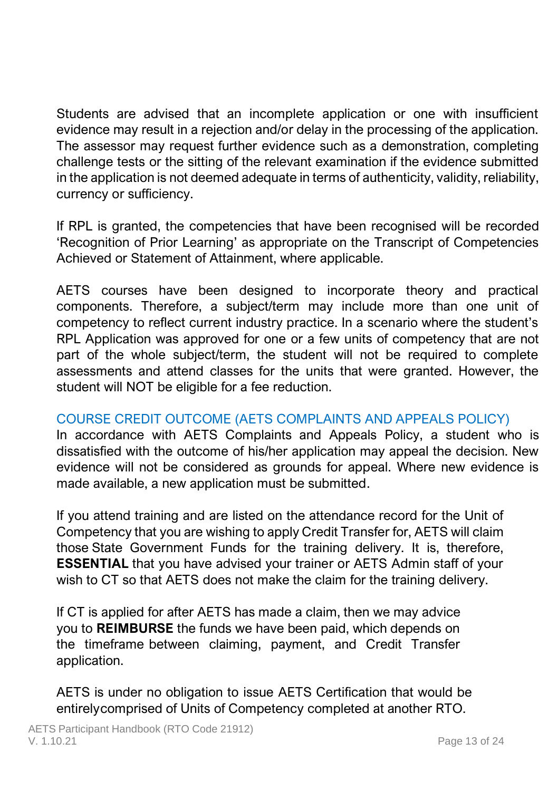Students are advised that an incomplete application or one with insufficient evidence may result in a rejection and/or delay in the processing of the application. The assessor may request further evidence such as a demonstration, completing challenge tests or the sitting of the relevant examination if the evidence submitted in the application is not deemed adequate in terms of authenticity, validity, reliability, currency or sufficiency.

If RPL is granted, the competencies that have been recognised will be recorded 'Recognition of Prior Learning' as appropriate on the Transcript of Competencies Achieved or Statement of Attainment, where applicable.

AETS courses have been designed to incorporate theory and practical components. Therefore, a subject/term may include more than one unit of competency to reflect current industry practice. In a scenario where the student's RPL Application was approved for one or a few units of competency that are not part of the whole subject/term, the student will not be required to complete assessments and attend classes for the units that were granted. However, the student will NOT be eligible for a fee reduction.

# COURSE CREDIT OUTCOME (AETS COMPLAINTS AND APPEALS POLICY)

In accordance with AETS Complaints and Appeals Policy, a student who is dissatisfied with the outcome of his/her application may appeal the decision. New evidence will not be considered as grounds for appeal. Where new evidence is made available, a new application must be submitted.

If you attend training and are listed on the attendance record for the Unit of Competency that you are wishing to apply Credit Transfer for, AETS will claim those State Government Funds for the training delivery. It is, therefore, **ESSENTIAL** that you have advised your trainer or AETS Admin staff of your wish to CT so that AETS does not make the claim for the training delivery.

If CT is applied for after AETS has made a claim, then we may advice you to **REIMBURSE** the funds we have been paid, which depends on the timeframe between claiming, payment, and Credit Transfer application.

AETS is under no obligation to issue AETS Certification that would be entirelycomprised of Units of Competency completed at another RTO.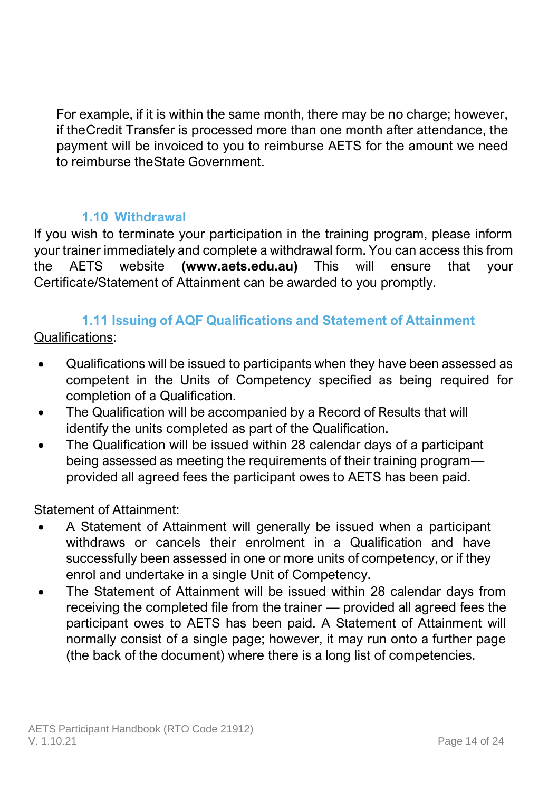For example, if it is within the same month, there may be no charge; however, if theCredit Transfer is processed more than one month after attendance, the payment will be invoiced to you to reimburse AETS for the amount we need to reimburse theState Government.

### **1.10 Withdrawal**

<span id="page-14-0"></span>If you wish to terminate your participation in the training program, please inform your trainer immediately and complete a withdrawal form. You can access this from the AETS website **(www.aets.edu.au)** This will ensure that your Certificate/Statement of Attainment can be awarded to you promptly.

# **1.11 Issuing of AQF Qualifications and Statement of Attainment**

<span id="page-14-1"></span>Qualifications:

- Qualifications will be issued to participants when they have been assessed as competent in the Units of Competency specified as being required for completion of a Qualification.
- The Qualification will be accompanied by a Record of Results that will identify the units completed as part of the Qualification.
- The Qualification will be issued within 28 calendar days of a participant being assessed as meeting the requirements of their training program provided all agreed fees the participant owes to AETS has been paid.

### Statement of Attainment:

- A Statement of Attainment will generally be issued when a participant withdraws or cancels their enrolment in a Qualification and have successfully been assessed in one or more units of competency, or if they enrol and undertake in a single Unit of Competency.
- The Statement of Attainment will be issued within 28 calendar days from receiving the completed file from the trainer — provided all agreed fees the participant owes to AETS has been paid. A Statement of Attainment will normally consist of a single page; however, it may run onto a further page (the back of the document) where there is a long list of competencies.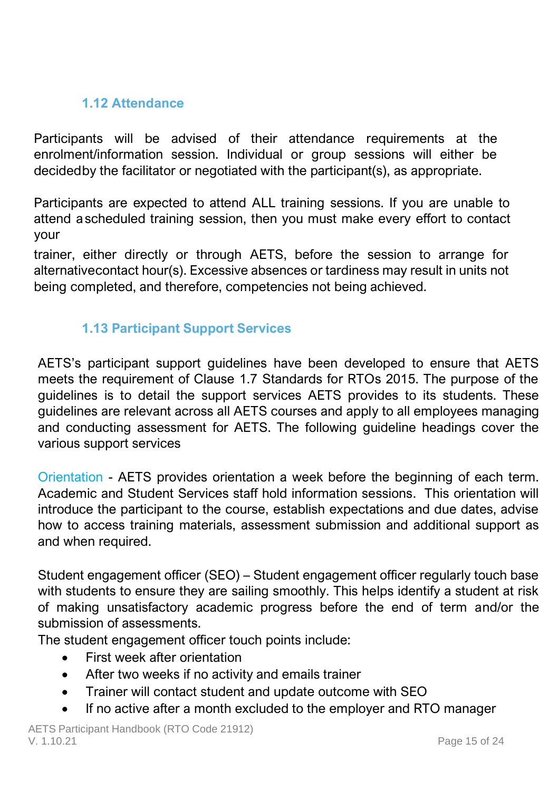# **1.12 Attendance**

<span id="page-15-0"></span>Participants will be advised of their attendance requirements at the enrolment/information session. Individual or group sessions will either be decidedby the facilitator or negotiated with the participant(s), as appropriate.

Participants are expected to attend ALL training sessions. If you are unable to attend ascheduled training session, then you must make every effort to contact your

trainer, either directly or through AETS, before the session to arrange for alternativecontact hour(s). Excessive absences or tardiness may result in units not being completed, and therefore, competencies not being achieved.

# **1.13 Participant Support Services**

<span id="page-15-1"></span>AETS's participant support guidelines have been developed to ensure that AETS meets the requirement of Clause 1.7 Standards for RTOs 2015. The purpose of the guidelines is to detail the support services AETS provides to its students. These guidelines are relevant across all AETS courses and apply to all employees managing and conducting assessment for AETS. The following guideline headings cover the various support services

Orientation - AETS provides orientation a week before the beginning of each term. Academic and Student Services staff hold information sessions. This orientation will introduce the participant to the course, establish expectations and due dates, advise how to access training materials, assessment submission and additional support as and when required.

Student engagement officer (SEO) – Student engagement officer regularly touch base with students to ensure they are sailing smoothly. This helps identify a student at risk of making unsatisfactory academic progress before the end of term and/or the submission of assessments.

The student engagement officer touch points include:

- First week after orientation
- After two weeks if no activity and emails trainer
- Trainer will contact student and update outcome with SEO
- If no active after a month excluded to the employer and RTO manager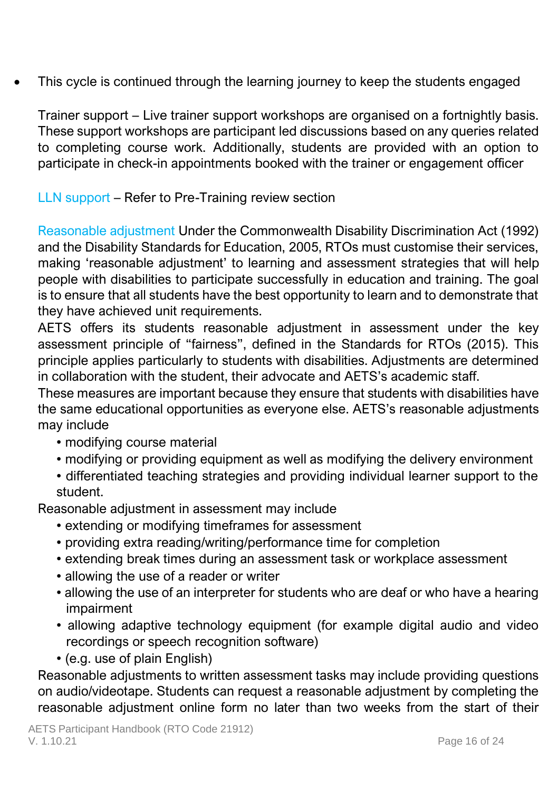This cycle is continued through the learning journey to keep the students engaged

Trainer support – Live trainer support workshops are organised on a fortnightly basis. These support workshops are participant led discussions based on any queries related to completing course work. Additionally, students are provided with an option to participate in check-in appointments booked with the trainer or engagement officer

LLN support – Refer to Pre-Training review section

Reasonable adjustment Under the Commonwealth Disability Discrimination Act (1992) and the Disability Standards for Education, 2005, RTOs must customise their services, making 'reasonable adjustment' to learning and assessment strategies that will help people with disabilities to participate successfully in education and training. The goal is to ensure that all students have the best opportunity to learn and to demonstrate that they have achieved unit requirements.

AETS offers its students reasonable adjustment in assessment under the key assessment principle of "fairness", defined in the Standards for RTOs (2015). This principle applies particularly to students with disabilities. Adjustments are determined in collaboration with the student, their advocate and AETS's academic staff.

These measures are important because they ensure that students with disabilities have the same educational opportunities as everyone else. AETS's reasonable adjustments may include

- modifying course material
- modifying or providing equipment as well as modifying the delivery environment
- differentiated teaching strategies and providing individual learner support to the student.

Reasonable adjustment in assessment may include

- extending or modifying timeframes for assessment
- providing extra reading/writing/performance time for completion
- extending break times during an assessment task or workplace assessment
- allowing the use of a reader or writer
- allowing the use of an interpreter for students who are deaf or who have a hearing impairment
- allowing adaptive technology equipment (for example digital audio and video recordings or speech recognition software)
- (e.g. use of plain English)

Reasonable adjustments to written assessment tasks may include providing questions on audio/videotape. Students can request a reasonable adjustment by completing the reasonable adjustment online form no later than two weeks from the start of their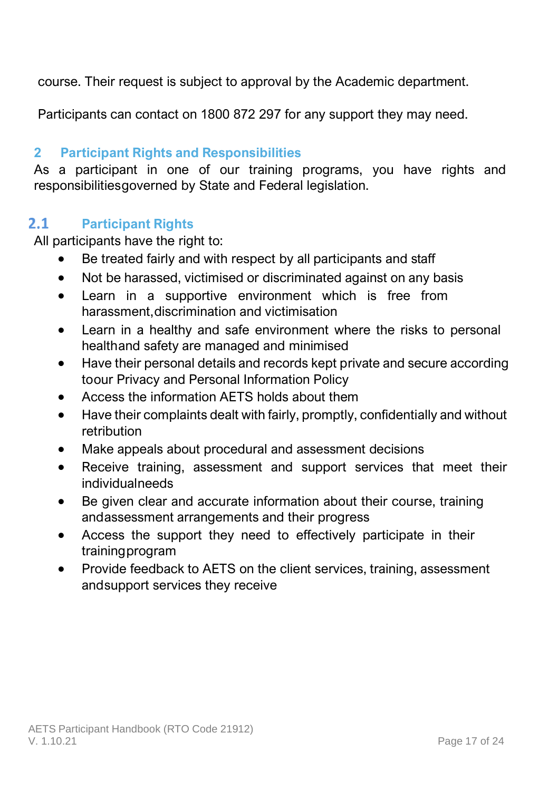course. Their request is subject to approval by the Academic department.

Participants can contact on 1800 872 297 for any support they may need.

# <span id="page-17-0"></span>**2 Participant Rights and Responsibilities**

As a participant in one of our training programs, you have rights and responsibilitiesgoverned by State and Federal legislation.

#### $2.1$ **Participant Rights**

All participants have the right to:

- <span id="page-17-1"></span>Be treated fairly and with respect by all participants and staff
- Not be harassed, victimised or discriminated against on any basis
- Learn in a supportive environment which is free from harassment,discrimination and victimisation
- Learn in a healthy and safe environment where the risks to personal healthand safety are managed and minimised
- Have their personal details and records kept private and secure according toour Privacy and Personal Information Policy
- Access the information AETS holds about them
- Have their complaints dealt with fairly, promptly, confidentially and without retribution
- Make appeals about procedural and assessment decisions
- Receive training, assessment and support services that meet their individualneeds
- Be given clear and accurate information about their course, training andassessment arrangements and their progress
- Access the support they need to effectively participate in their trainingprogram
- Provide feedback to AETS on the client services, training, assessment andsupport services they receive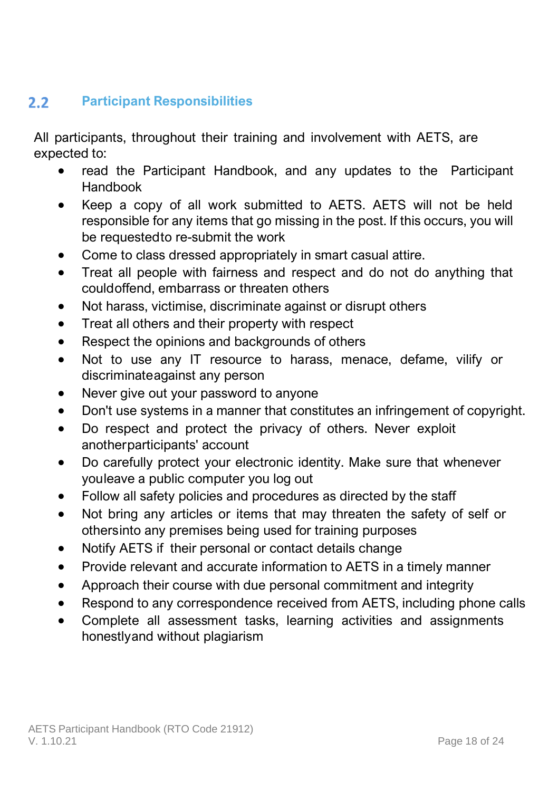### <span id="page-18-0"></span> $2.2^{\circ}$ **Participant Responsibilities**

All participants, throughout their training and involvement with AETS, are expected to:

- read the Participant Handbook, and any updates to the Participant Handbook
- Keep a copy of all work submitted to AETS. AETS will not be held responsible for any items that go missing in the post. If this occurs, you will be requestedto re-submit the work
- Come to class dressed appropriately in smart casual attire.
- Treat all people with fairness and respect and do not do anything that couldoffend, embarrass or threaten others
- Not harass, victimise, discriminate against or disrupt others
- Treat all others and their property with respect
- Respect the opinions and backgrounds of others
- Not to use any IT resource to harass, menace, defame, vilify or discriminateagainst any person
- Never give out your password to anyone
- Don't use systems in a manner that constitutes an infringement of copyright.
- Do respect and protect the privacy of others. Never exploit anotherparticipants' account
- Do carefully protect your electronic identity. Make sure that whenever youleave a public computer you log out
- Follow all safety policies and procedures as directed by the staff
- Not bring any articles or items that may threaten the safety of self or othersinto any premises being used for training purposes
- Notify AETS if their personal or contact details change
- Provide relevant and accurate information to AETS in a timely manner
- Approach their course with due personal commitment and integrity
- Respond to any correspondence received from AETS, including phone calls
- Complete all assessment tasks, learning activities and assignments honestlyand without plagiarism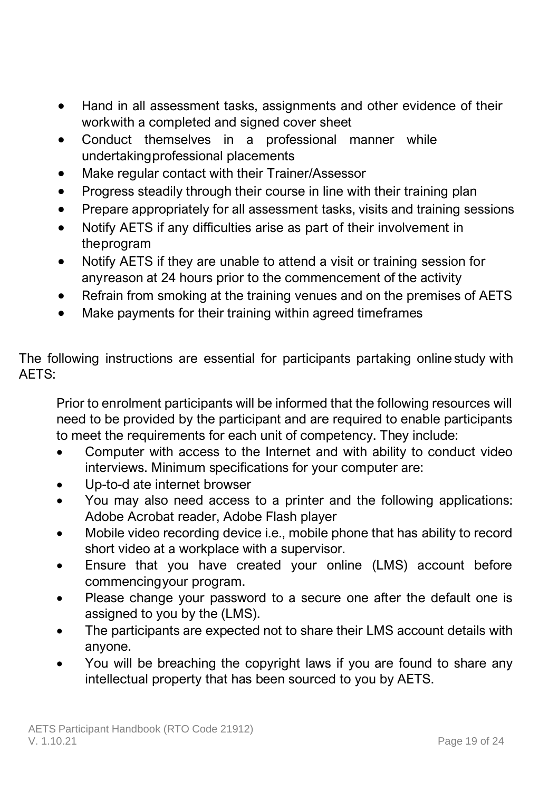- Hand in all assessment tasks, assignments and other evidence of their workwith a completed and signed cover sheet
- Conduct themselves in a professional manner while undertakingprofessional placements
- Make regular contact with their Trainer/Assessor
- Progress steadily through their course in line with their training plan
- Prepare appropriately for all assessment tasks, visits and training sessions
- Notify AETS if any difficulties arise as part of their involvement in theprogram
- Notify AETS if they are unable to attend a visit or training session for anyreason at 24 hours prior to the commencement of the activity
- Refrain from smoking at the training venues and on the premises of AETS
- Make payments for their training within agreed timeframes

The following instructions are essential for participants partaking online study with AETS:

Prior to enrolment participants will be informed that the following resources will need to be provided by the participant and are required to enable participants to meet the requirements for each unit of competency. They include:

- Computer with access to the Internet and with ability to conduct video interviews. Minimum specifications for your computer are:
- Up-to-d ate internet browser
- You may also need access to a printer and the following applications: Adobe Acrobat reader, Adobe Flash player
- Mobile video recording device i.e., mobile phone that has ability to record short video at a workplace with a supervisor.
- Ensure that you have created your online (LMS) account before commencingyour program.
- Please change your password to a secure one after the default one is assigned to you by the (LMS).
- The participants are expected not to share their LMS account details with anyone.
- You will be breaching the copyright laws if you are found to share any intellectual property that has been sourced to you by AETS.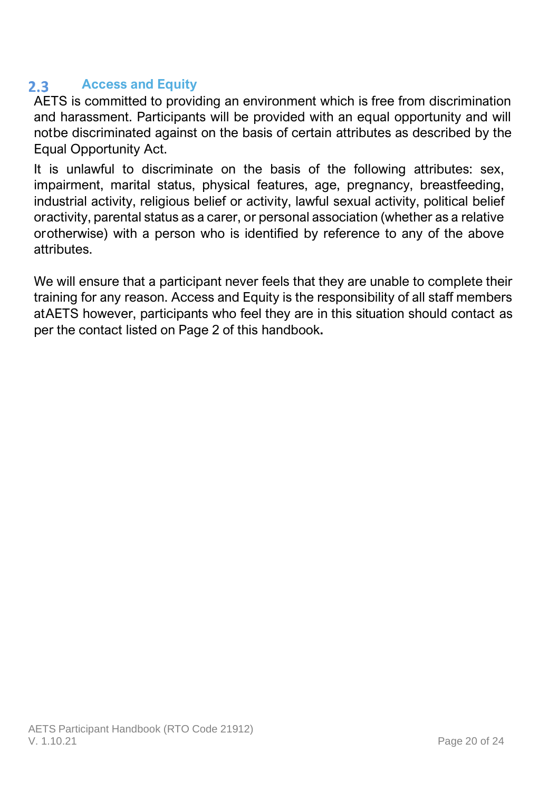### <span id="page-20-0"></span>**Access and Equity**  $2.3 -$

AETS is committed to providing an environment which is free from discrimination and harassment. Participants will be provided with an equal opportunity and will notbe discriminated against on the basis of certain attributes as described by the Equal Opportunity Act.

It is unlawful to discriminate on the basis of the following attributes: sex, impairment, marital status, physical features, age, pregnancy, breastfeeding, industrial activity, religious belief or activity, lawful sexual activity, political belief oractivity, parental status as a carer, or personal association (whether as a relative orotherwise) with a person who is identified by reference to any of the above attributes.

We will ensure that a participant never feels that they are unable to complete their training for any reason. Access and Equity is the responsibility of all staff members atAETS however, participants who feel they are in this situation should contact as per the contact listed on Page 2 of this handbook**.**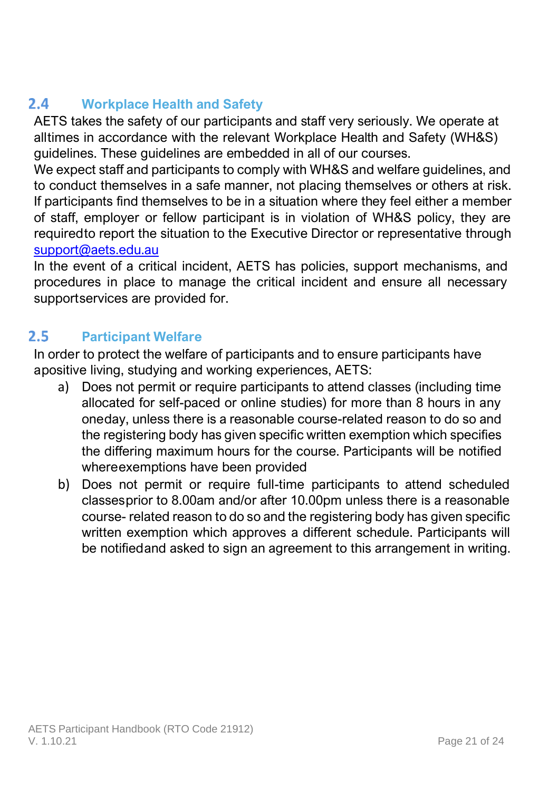### <span id="page-21-0"></span> $2.4$ **Workplace Health and Safety**

AETS takes the safety of our participants and staff very seriously. We operate at alltimes in accordance with the relevant Workplace Health and Safety (WH&S) guidelines. These guidelines are embedded in all of our courses.

We expect staff and participants to comply with WH&S and welfare guidelines, and to conduct themselves in a safe manner, not placing themselves or others at risk. If participants find themselves to be in a situation where they feel either a member of staff, employer or fellow participant is in violation of WH&S policy, they are requiredto report the situation to the Executive Director or representative through [support@aets.edu.au](mailto:info@aets.edu.au)

In the event of a critical incident, AETS has policies, support mechanisms, and procedures in place to manage the critical incident and ensure all necessary supportservices are provided for.

### <span id="page-21-1"></span> $2.5^{\circ}$ **Participant Welfare**

In order to protect the welfare of participants and to ensure participants have apositive living, studying and working experiences, AETS:

- a) Does not permit or require participants to attend classes (including time allocated for self-paced or online studies) for more than 8 hours in any oneday, unless there is a reasonable course-related reason to do so and the registering body has given specific written exemption which specifies the differing maximum hours for the course. Participants will be notified whereexemptions have been provided
- b) Does not permit or require full-time participants to attend scheduled classesprior to 8.00am and/or after 10.00pm unless there is a reasonable course- related reason to do so and the registering body has given specific written exemption which approves a different schedule. Participants will be notifiedand asked to sign an agreement to this arrangement in writing.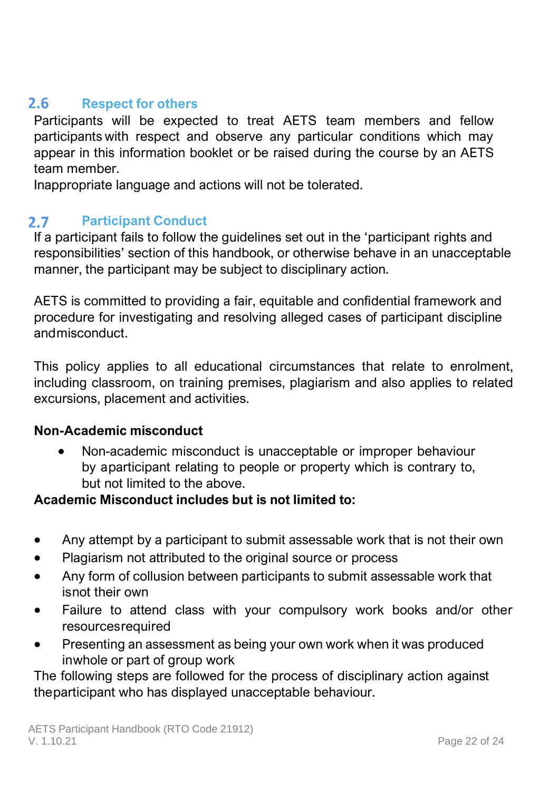#### <span id="page-22-0"></span> $2.6$ **Respect for others**

Participants will be expected to treat AETS team members and fellow participants with respect and observe any particular conditions which may appear in this information booklet or be raised during the course by an AETS team member.

Inappropriate language and actions will not be tolerated.

#### <span id="page-22-1"></span> $2.7$ **Participant Conduct**

If a participant fails to follow the guidelines set out in the 'participant rights and responsibilities' section of this handbook, or otherwise behave in an unacceptable manner, the participant may be subject to disciplinary action.

AETS is committed to providing a fair, equitable and confidential framework and procedure for investigating and resolving alleged cases of participant discipline andmisconduct.

This policy applies to all educational circumstances that relate to enrolment, including classroom, on training premises, plagiarism and also applies to related excursions, placement and activities.

### **Non-Academic misconduct**

• Non-academic misconduct is unacceptable or improper behaviour by aparticipant relating to people or property which is contrary to, but not limited to the above.

### **Academic Misconduct includes but is not limited to:**

- Any attempt by a participant to submit assessable work that is not their own
- Plagiarism not attributed to the original source or process
- Any form of collusion between participants to submit assessable work that isnot their own
- Failure to attend class with your compulsory work books and/or other resourcesrequired
- Presenting an assessment as being your own work when it was produced inwhole or part of group work

The following steps are followed for the process of disciplinary action against theparticipant who has displayed unacceptable behaviour.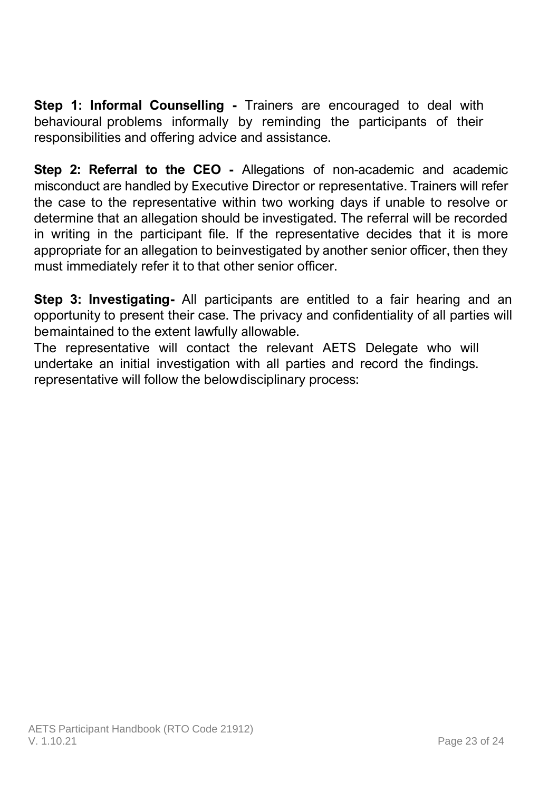**Step 1: Informal Counselling - Trainers are encouraged to deal with** behavioural problems informally by reminding the participants of their responsibilities and offering advice and assistance.

**Step 2: Referral to the CEO -** Allegations of non-academic and academic misconduct are handled by Executive Director or representative. Trainers will refer the case to the representative within two working days if unable to resolve or determine that an allegation should be investigated. The referral will be recorded in writing in the participant file. If the representative decides that it is more appropriate for an allegation to beinvestigated by another senior officer, then they must immediately refer it to that other senior officer.

**Step 3: Investigating-** All participants are entitled to a fair hearing and an opportunity to present their case. The privacy and confidentiality of all parties will bemaintained to the extent lawfully allowable.

The representative will contact the relevant AETS Delegate who will undertake an initial investigation with all parties and record the findings. representative will follow the belowdisciplinary process: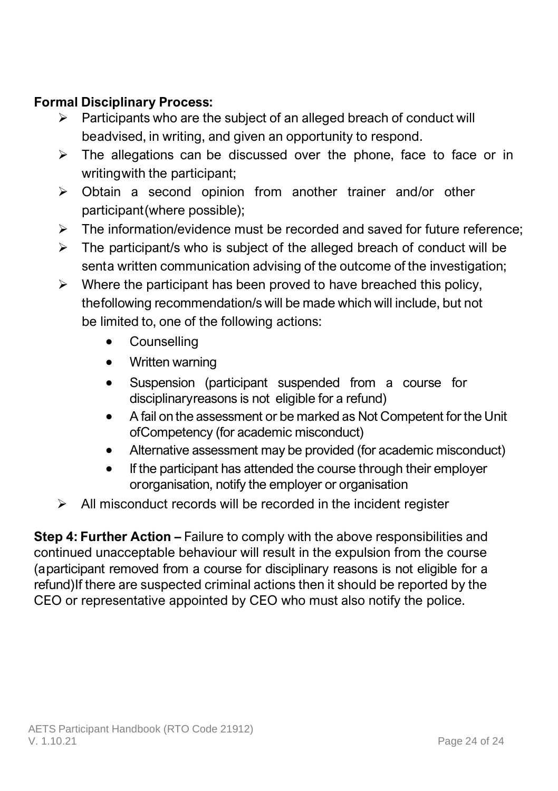# **Formal Disciplinary Process:**

- Participants who are the subject of an alleged breach of conduct will beadvised, in writing, and given an opportunity to respond.
- $\triangleright$  The allegations can be discussed over the phone, face to face or in writing with the participant:
- ➢ Obtain a second opinion from another trainer and/or other participant(where possible);
- $\triangleright$  The information/evidence must be recorded and saved for future reference;
- $\triangleright$  The participant/s who is subject of the alleged breach of conduct will be senta written communication advising of the outcome of the investigation;
- $\triangleright$  Where the participant has been proved to have breached this policy, thefollowing recommendation/s will be made which will include, but not be limited to, one of the following actions:
	- Counselling
	- Written warning
	- Suspension (participant suspended from a course for disciplinaryreasons is not eligible for a refund)
	- A fail on the assessment or be marked as Not Competent for the Unit ofCompetency (for academic misconduct)
	- Alternative assessment may be provided (for academic misconduct)
	- If the participant has attended the course through their employer ororganisation, notify the employer or organisation
- $\triangleright$  All misconduct records will be recorded in the incident register

**Step 4: Further Action –** Failure to comply with the above responsibilities and continued unacceptable behaviour will result in the expulsion from the course (aparticipant removed from a course for disciplinary reasons is not eligible for a refund)If there are suspected criminal actions then it should be reported by the CEO or representative appointed by CEO who must also notify the police.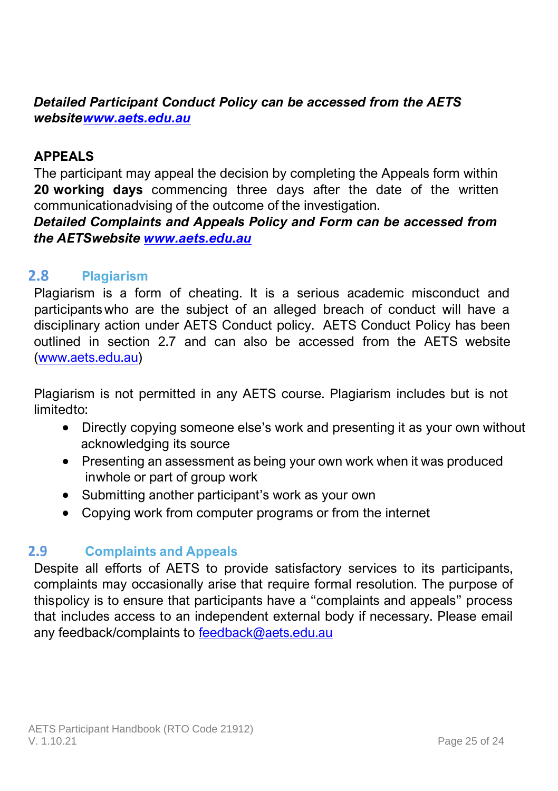# *Detailed Participant Conduct Policy can be accessed from the AETS websit[ewww.aets.edu.au](http://www.aets.edu.au/)*

### **APPEALS**

The participant may appeal the decision by completing the Appeals form within **20 working days** commencing three days after the date of the written communicationadvising of the outcome of the investigation.

*Detailed Complaints and Appeals Policy and Form can be accessed from the AETSwebsite [www.aets.edu.au](http://www.aets.edu.au/)*

#### <span id="page-25-0"></span> $2.8$ **Plagiarism**

Plagiarism is a form of cheating. It is a serious academic misconduct and participants who are the subject of an alleged breach of conduct will have a disciplinary action under AETS Conduct policy. AETS Conduct Policy has been outlined in section 2.7 and can also be accessed from the AETS website [\(www.aets.edu.au\)](http://www.aets.edu.au/)

Plagiarism is not permitted in any AETS course. Plagiarism includes but is not limitedto:

- Directly copying someone else's work and presenting it as your own without acknowledging its source
- Presenting an assessment as being your own work when it was produced inwhole or part of group work
- Submitting another participant's work as your own
- <span id="page-25-1"></span>• Copying work from computer programs or from the internet

#### $2.9$ **Complaints and Appeals**

Despite all efforts of AETS to provide satisfactory services to its participants, complaints may occasionally arise that require formal resolution. The purpose of thispolicy is to ensure that participants have a "complaints and appeals" process that includes access to an independent external body if necessary. Please email any feedback/complaints to [feedback@aets.edu.au](mailto:feedback@aets.edu.au)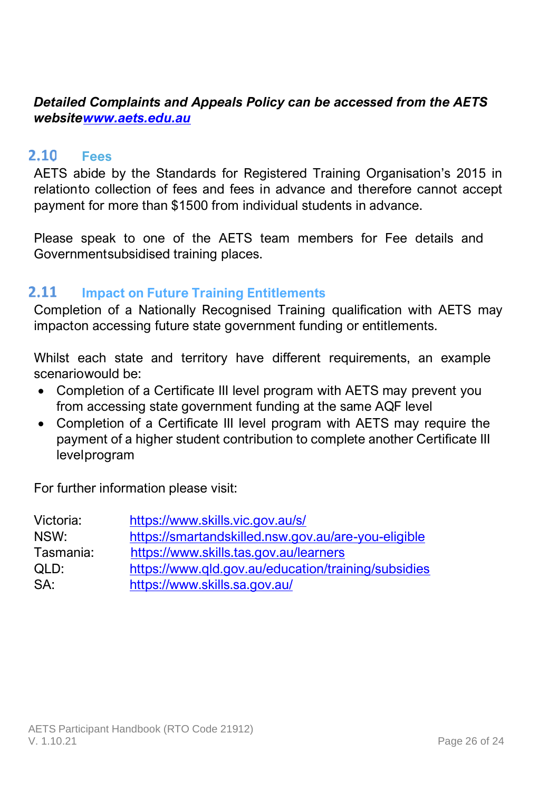# *Detailed Complaints and Appeals Policy can be accessed from the AETS websit[ewww.aets.edu.au](http://www.aets.edu.au/)*

#### <span id="page-26-0"></span> $2.10$ **Fees**

AETS abide by the Standards for Registered Training Organisation's 2015 in relationto collection of fees and fees in advance and therefore cannot accept payment for more than \$1500 from individual students in advance.

Please speak to one of the AETS team members for Fee details and Governmentsubsidised training places.

#### <span id="page-26-1"></span> $2.11$ **Impact on Future Training Entitlements**

Completion of a Nationally Recognised Training qualification with AETS may impacton accessing future state government funding or entitlements.

Whilst each state and territory have different requirements, an example scenariowould be:

- Completion of a Certificate III level program with AETS may prevent you from accessing state government funding at the same AQF level
- Completion of a Certificate III level program with AETS may require the payment of a higher student contribution to complete another Certificate III levelprogram

For further information please visit:

| Victoria: | https://www.skills.vic.gov.au/s/                    |
|-----------|-----------------------------------------------------|
| NSW:      | https://smartandskilled.nsw.gov.au/are-you-eligible |
| Tasmania: | https://www.skills.tas.gov.au/learners              |
| OLD:      | https://www.gld.gov.au/education/training/subsidies |
| SA:       | https://www.skills.sa.gov.au/                       |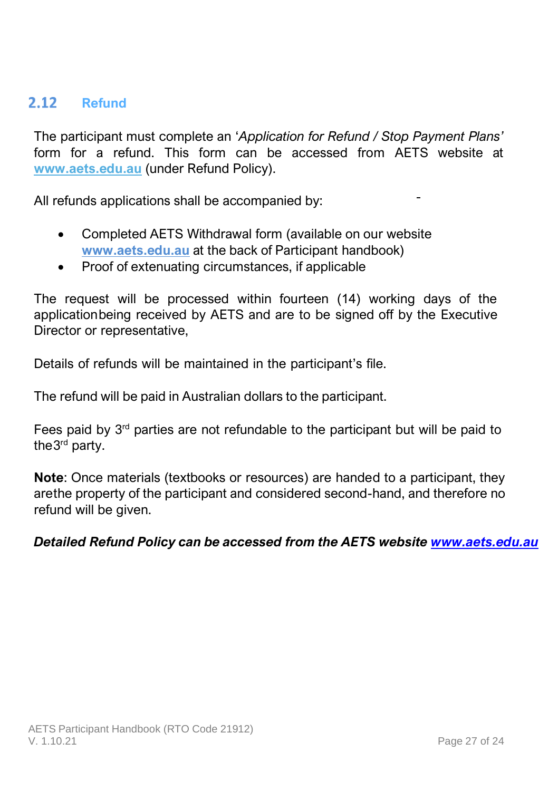# <span id="page-27-0"></span>2.12 Refund

The participant must complete an '*Application for Refund / Stop Payment Plans'* form for a refund. This form can be accessed from AETS website at **[www.aets.edu.au](http://www.aets.edu.au/)** (under Refund Policy).

All refunds applications shall be accompanied by:

- Completed AETS Withdrawal form (available on our website **[www.aets.edu.au](http://www.aets.edu.au/)** at the back of Participant handbook)
- Proof of extenuating circumstances, if applicable

The request will be processed within fourteen (14) working days of the applicationbeing received by AETS and are to be signed off by the Executive Director or representative,

Details of refunds will be maintained in the participant's file.

The refund will be paid in Australian dollars to the participant.

Fees paid by  $3<sup>rd</sup>$  parties are not refundable to the participant but will be paid to the3<sup>rd</sup> party.

**Note**: Once materials (textbooks or resources) are handed to a participant, they arethe property of the participant and considered second-hand, and therefore no refund will be given.

*Detailed Refund Policy can be accessed from the AETS website [www.aets.edu.au](http://www.aets.edu.au/)*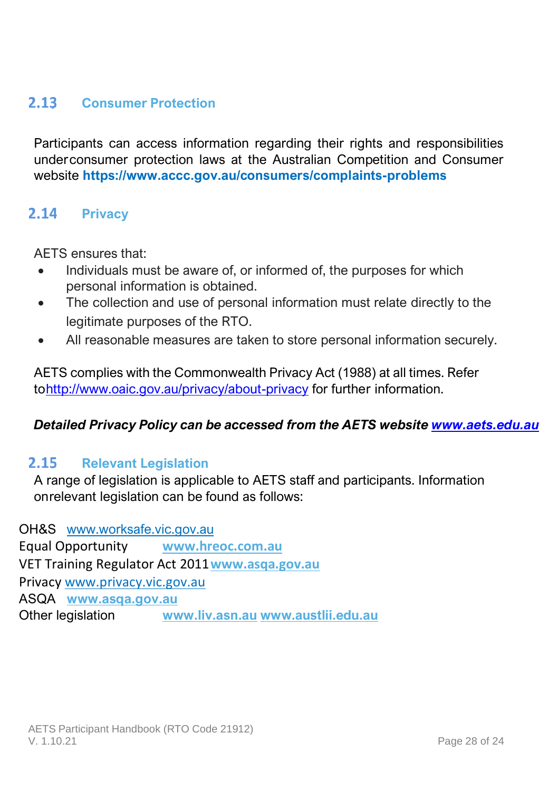### <span id="page-28-0"></span> $2.13 -$ **Consumer Protection**

Participants can access information regarding their rights and responsibilities underconsumer protection laws at the Australian Competition and Consumer website **https:[//www.accc.gov.au/consumers/complaints-problems](http://www.accc.gov.au/consumers/complaints-problems)**

### <span id="page-28-1"></span> $2.14$ **Privacy**

AETS ensures that:

- Individuals must be aware of, or informed of, the purposes for which personal information is obtained.
- The collection and use of personal information must relate directly to the legitimate purposes of the RTO.
- All reasonable measures are taken to store personal information securely.

AETS complies with the Commonwealth Privacy Act (1988) at all times. Refer t[ohttp://www.oaic.gov.au/privacy/about-privacy](http://www.oaic.gov.au/privacy/about-privacy) for further information.

### *Detailed Privacy Policy can be accessed from the AETS website [www.aets.edu.au](http://www.aets.edu.au/)*

#### <span id="page-28-2"></span> $2.15$ **Relevant Legislation**

A range of legislation is applicable to AETS staff and participants. Information onrelevant legislation can be found as follows:

OH&S [www.worksafe.vic.gov.au](http://www.worksafe.vic.gov.au/) Equal Opportunity **[www.hreoc.com.au](http://www.hreoc.com.au/)** VET Training Regulator Act 2011**[www.asqa.gov.au](http://www.asqa.gov.au/)** Privacy www.privacy.vic.gov.au ASQA **[www.asqa.gov.au](http://www.asqa.gov.au/)** Other legislation **[www.liv.asn.au](http://www.liv.asn.au/) [www.austlii.edu.au](http://www.austlii.edu.au/)**